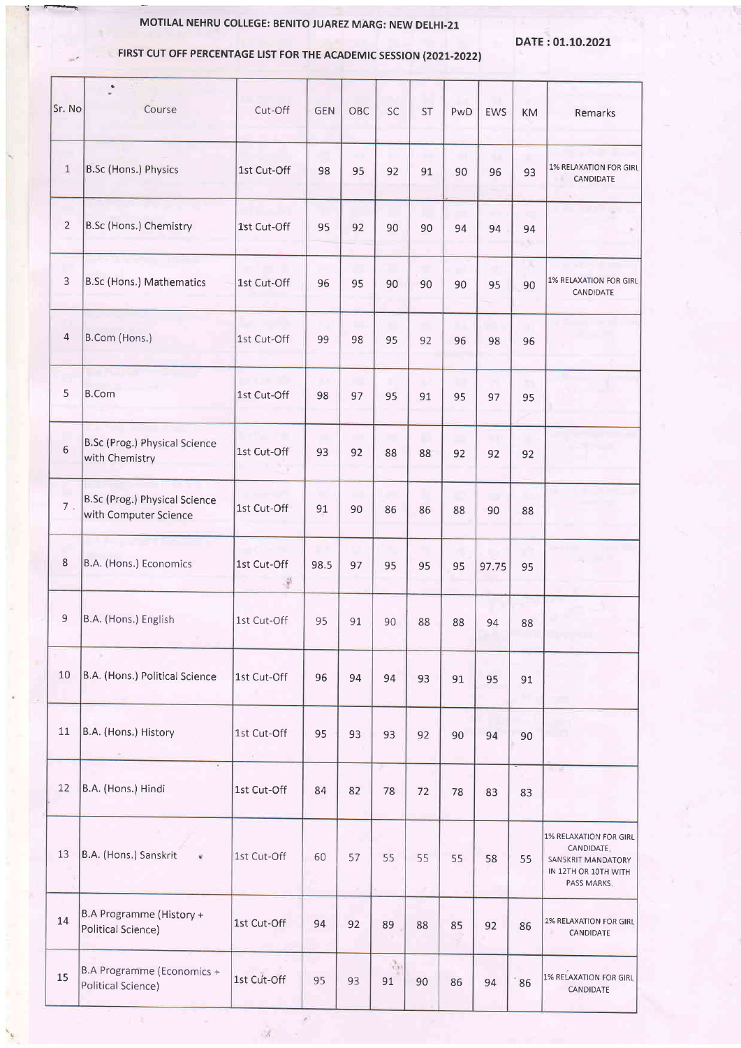## MOTILAL NEHRU COLLEGE: BENITO JUAREZ MARG: NEW DELHI-21

DATE:0t.10.2O21

## FIRST CUT OFF PERCENTAGE LIST FOR THE ACADEMIC SESSION (2021-2022)

'

| Sr. No                  | Course                                                 | Cut-Off           | <b>GEN</b> | OBC | SC                         | <b>ST</b> | PwD | <b>EWS</b> | KM       | Remarks                                                                                                  |
|-------------------------|--------------------------------------------------------|-------------------|------------|-----|----------------------------|-----------|-----|------------|----------|----------------------------------------------------------------------------------------------------------|
| $\,1\,$                 | <b>B.Sc (Hons.) Physics</b>                            | 1st Cut-Off       | 98         | 95  | 92                         | 91        | 90  | μ<br>96    | 93       | 1% RELAXATION FOR GIRL<br>CANDIDATE                                                                      |
| $\overline{2}$          | B.Sc (Hons.) Chemistry                                 | 1st Cut-Off       | 95         | 92  | 90                         | 90        | 94  | 94         | 94<br>W. |                                                                                                          |
| 3                       | B.Sc (Hons.) Mathematics                               | 1st Cut-Off       | 96         | 95  | 90                         | 90        | 90  | 95         | х<br>90  | 1% RELAXATION FOR GIRL<br>CANDIDATE                                                                      |
| $\overline{\mathbf{4}}$ | B.Com (Hons.)                                          | 1st Cut-Off       | 99         | 98  | 95                         | 92        | 96  | 98         | 96       |                                                                                                          |
| 5                       | <b>B.Com</b>                                           | 1st Cut-Off       | w<br>98    | 97  | 95                         | ٣<br>91   | 95  | 97         | m<br>95  |                                                                                                          |
| $\,$ 6 $\,$             | B.Sc (Prog.) Physical Science<br>with Chemistry        | 1st Cut-Off       | 93         | 92  | 88                         | n)<br>88  | 92  | 11<br>92   | 92       |                                                                                                          |
| 7.                      | B.Sc (Prog.) Physical Science<br>with Computer Science | 1st Cut-Off       | n<br>91    | 90  | 86                         | 86        | 88  | u<br>90    | 88       |                                                                                                          |
| 8                       | B.A. (Hons.) Economics                                 | 1st Cut-Off<br>導. | 98.5       | 97  | 95                         | 95        | 95  | 97.75      | 95       |                                                                                                          |
| 9                       | B.A. (Hons.) English                                   | 1st Cut-Off       | 95         | 91  | 90                         | 88        | 88  | 94         | 88       |                                                                                                          |
| 10                      | B.A. (Hons.) Political Science                         | 1st Cut-Off       | 96         | 94  | 94                         | 93        | 91  | 95         | 91       |                                                                                                          |
| 11                      | B.A. (Hons.) History                                   | 1st Cut-Off<br>i. | 95         | 93  | 93                         | 92        | 90  | 94         | 90       |                                                                                                          |
| 12                      | B.A. (Hons.) Hindi                                     | 1st Cut-Off       | 84         | 82  | 78                         | 72        | 78  | 83         | 83       | - 6                                                                                                      |
| 13                      | B.A. (Hons.) Sanskrit<br>¥                             | 1st Cut-Off       | 60         | 57  | 55                         | 55        | 55  | 58         | 55       | <b>1% RELAXATION FOR GIRL</b><br>CANDIDATE.<br>SANSKRIT MANDATORY<br>IN 12TH OR 10TH WITH<br>PASS MARKS. |
| 14                      | B.A Programme (History +<br>Political Science)         | 1st Cut-Off       | 94         | 92  | 89                         | 88        | 85  | 92         | 86       | 1% RELAXATION FOR GIRL<br>CANDIDATE                                                                      |
| 15                      | B.A Programme (Economics +<br>Political Science)       | 1st Cut-Off       | 95         | 93  | $\frac{1}{\sqrt{2}}$<br>91 | 90        | 86  | 94         | 86       | 1% RELAXATION FOR GIRL<br>CANDIDATE                                                                      |

 $\mathbb{R}^3$ 

Ù,